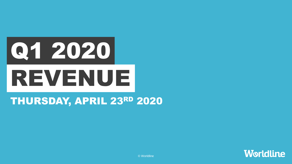

# THURSDAY, APRIL 23RD 2020



© Worldline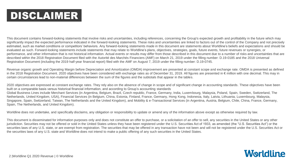# DISCLAIMER

This document contains forward-looking statements that involve risks and uncertainties, including references, concerning the Group's expected growth and profitability in the future which may significantly impact the expected performance indicated in the forward-looking statements. These risks and uncertainties are linked to factors out of the control of the Company and not precisely estimated, such as market conditions or competitors' behaviors. Any forward-looking statements made in this document are statements about Worldline's beliefs and expectations and should be evaluated as such. Forward-looking statements include statements that may relate to Worldline's plans, objectives, strategies, goals, future events, future revenues or synergies, or performance, and other information that is not historical information. Actual events or results may differ from those described in this document due to a number of risks and uncertainties that are described within the 2018 Registration Document filed with the Autorité des Marchés Financiers (AMF) on March 21, 2019 under the filling number: D.19-0185 and the 2018 Universal Registration Document (including the 2019 half-year financial report) filed with the AMF on August 7, 2019 under the filling number: D.19-0745.

Revenue organic growth and Operating Margin before Depreciation and Amortization (OMDA) improvement are presented at constant scope and exchange rate. OMDA is presented as defined in the 2018 Registration Document. 2020 objectives have been considered with exchange rates as of December 31, 2019. All figures are presented in € million with one decimal. This may in certain circumstances lead to non-material differences between the sum of the figures and the subtotals that appear in the tables.

2020 objectives are expressed at constant exchange rates. They rely also on the absence of change in scope and of significant change in accounting standards. These objectives have been built on a comparable basis versus historical financial information, and according to Group's accounting standards Global Business Lines include Merchant Services (in Argentina, Belgium, Brazil, Czech republic, France, Germany, India, Luxembourg, Malaysia, Poland, Spain, Sweden, Switzerland, The Netherlands, United Kingdom, USA), Financial Services (in Belgium, China, Estonia, Finland, France, Germany, Hong Kong, Indonesia, Italy, Latvia, Lithuania, Luxembourg, Malaysia, Singapore, Spain, Switzerland, Taiwan, The Netherlands and the United Kingdom), and Mobility & e-Transactional Services (in Argentina, Austria, Belgium, Chile, China, France, Germany, Spain, The Netherlands, and United Kingdom).

Worldline does not undertake, and specifically disclaims, any obligation or responsibility to update or amend any of the information above except as otherwise required by law.

This document is disseminated for information purposes only and does not constitute an offer to purchase, or a solicitation of an offer to sell, any securities in the United States or any other jurisdiction. Securities may not be offered or sold in the United States unless they have been registered under the U.S. Securities Act of 1933, as amended (the "U.S. Securities Act") or the securities laws of any U.S. state, or are exempt from registration. The securities that may be offered in any transaction have not been and will not be registered under the U.S. Securities Act or the securities laws of any U.S. state and Worldline does not intend to make a public offering of any such securities in the United States.

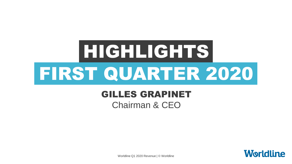# HIGHLIGHTS FIRST QUARTER 2020

# GILLES GRAPINET

Chairman & CEO

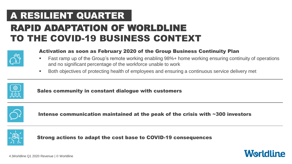# RAPID ADAPTATION OF WORLDLINE TO THE COVID-19 BUSINESS CONTEXT A RESILIENT QUARTER



## Activation as soon as February 2020 of the Group Business Continuity Plan

- Fast ramp up of the Group's remote working enabling 98%+ home working ensuring continuity of operations and no significant percentage of the workforce unable to work
- Both objectives of protecting health of employees and ensuring a continuous service delivery met



Sales community in constant dialogue with customers



Intense communication maintained at the peak of the crisis with ~300 investors



Strong actions to adapt the cost base to COVID-19 consequences

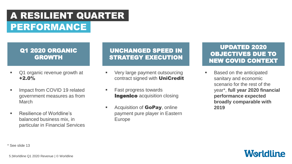# PERFORMANCE A RESILIENT QUARTER

## Q1 2020 ORGANIC GROWTH

- Q1 organic revenue growth at +2.0%
- Impact from COVID 19 related government measures as from March
- Resilience of Worldline's balanced business mix, in particular in Financial Services

## UNCHANGED SPEED IN STRATEGY EXECUTION

- Very large payment outsourcing contract signed with **UniCredit**
- Fast progress towards **Ingenico** acquisition closing
- Acquisition of **GoPay**, online payment pure player in Eastern Europe

## UPDATED 2020 OBJECTIVES DUE TO NEW COVID CONTEXT

 Based on the anticipated sanitary and economic scenario for the rest of the year\*, **full year 2020 financial performance expected broadly comparable with 2019**

\* See slide 13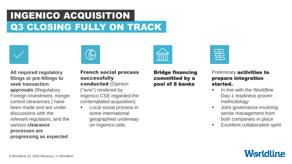# Q3 CLOSING FULLY ON TRACK INGENICO ACQUISITION



**All required regulatory filings or pre-fillings to seek transaction approvals** (Regulatory, Foreign Investment, merger control clearances ) have been made and are under discussions with the relevant regulators, and the various **clearance processes are progressing as expected**



### French social process successfully conducted (Opinion ("avis") rendered by Ingenico CSE regarded the contemplated acquisition)

 Local social process in some international geographies underway on Ingenico side.



#### Preliminary **activities to** prepare integration started.

- In line with the Worldline Day-1 readiness proven methodology
- Joint governance involving senior management from both companies in place
- **Excellent collaboration spirit**



6 |Worldline Q1 2020 Revenue | © Worldline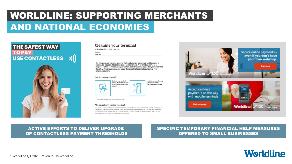# AND NATIONAL ECONOMIES WORLDLINE: SUPPORTING MERCHANTS



#### **Cleaning your terminal**

**Instructions for regular cleaning** 

**Building of a** 12 Mar 2020

Good hygiene and cleanliness across the board are now more important than ever in companies - to protect both employees and customers. Your terminal serves as a frequent contact point between your customers and your employees. For your safety and the safety of your customers, we would therefore like to remind you to clean your terminal requiarly

How do I clean my terminal?



Don't: Do not spray cleaning agent or disinfection directly onto your terminal.

. Clean the terminal display with an antistatic cloth

#### Why is cleaning my terminal important?

Your terminal serves as a frequent contact point between your customers and your employees. Bacteria and viruses are easily spread, not just by contact with other people, but also through contact with objects such as phones, computers, keyboards, doorknobs and also through payment terminals. Studies suggest that coronaviruses, like COVID-19, may remain infectious on surfaces for several hours or even days.





#### ACTIVE EFFORTS TO DELIVER UPGRADE OF CONTACTLESS PAYMENT THRESHOLDS

#### SPECIFIC TEMPORARY FINANCIAL HELP MEASURES OFFERED TO SMALL BUSINESSES

# **Worldline**

#### 7 |Worldline Q1 2020 Revenue | © Worldline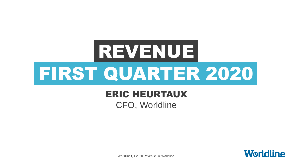

# ERIC HEURTAUX

CFO, Worldline



Worldline Q1 2020 Revenue | © Worldline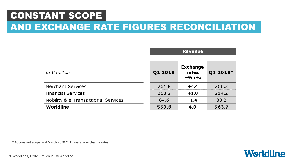# CONSTANT SCOPE

# AND EXCHANGE RATE FIGURES RECONCILIATION

|                                     | <b>Revenue</b> |                                     |          |
|-------------------------------------|----------------|-------------------------------------|----------|
|                                     |                |                                     |          |
| In $\epsilon$ million               | Q1 2019        | <b>Exchange</b><br>rates<br>effects | Q1 2019* |
| <b>Merchant Services</b>            | 261.8          | $+4.4$                              | 266.3    |
| <b>Financial Services</b>           | 213.2          | $+1.0$                              | 214.2    |
| Mobility & e-Transactional Services | 84.6           | $-1.4$                              | 83.2     |
| Worldline                           | 559.6          | 4.0                                 | 563.7    |

\* At constant scope and March 2020 YTD average exchange rates,



9 |Worldline Q1 2020 Revenue | © Worldline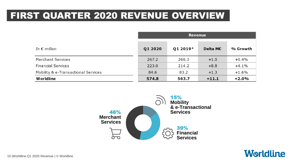# FIRST QUARTER 2020 REVENUE OVERVIEW

|                                     | <b>Revenue</b> |          |                 |          |
|-------------------------------------|----------------|----------|-----------------|----------|
| In $\epsilon$ million               | Q1 2020        | Q1 2019* | <b>Delta M€</b> | % Growth |
| Merchant Services                   | 267.2          | 266.3    | $+1.0$          | $+0.4%$  |
| <b>Financial Services</b>           | 223.0          | 214.2    | $+8.8$          | $+4.1%$  |
| Mobility & e-Transactional Services | 84.6           | 83.2     | $+1.3$          | $+1.6\%$ |
| Worldline                           | 574.8          | 563.7    | $+11.1$         | $+2.0%$  |



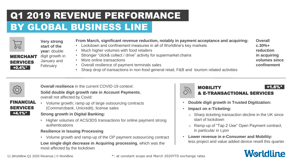# BY GLOBAL BUSINESS LINE Q1 2019 REVENUE PERFORMANCE



**Very strong start of the** 

**year:** double

digit growth in January and February +0.4%\* MERCHANT SERVICES

- **From March, significant revenue reduction, notably in payment acceptance and acquiring:**
- Lockdown and confinement measures in all of Worldline's key markets
- Much higher volumes with food retailers
- Stronger "click& collect / drive" activity for supermarket chains
- More online transactions
- Overall resilience of payment terminals sales
- Sharp drop of transactions in non-food general retail, F&B and tourism related activities

**Overall c.30%+ reduction in acquiring volumes since confinement**



**Overall resilience** in the current COVID-19 context:

**Solid double digit growth rate in Account Payments**, overall not affected by Covid:



• Volume growth; ramp up of large outsourcing contracts (Commerzbank, Unicredit), license sales

**Strong growth in Digital Banking:** 

• Higher volumes of ACS/3DS transactions for online payment strong authentications

#### **Resilience in Issuing Processing**

• Volume growth and ramp-up of the OP payment outsourcing contract **Low single digit decrease in Acquiring processing**, which was the most affected by the lockdown



- **Double digit growth in Trusted Digitization:**
- **Impact on e-Ticketing:**
	- o Sharp ticketing transaction decline in the UK since start of lockdown
	- o Ramp-up of "Tap 2 Use" Open Payment contract, in particular in Lyon
- **Lower revenue in e-Consumer and Mobility:**  less project and value added device resell this quarter

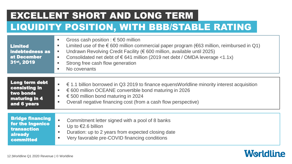# EXCELLENT SHORT AND LONG TERM

# LIQUIDITY POSITION, WITH BBB/STABLE RATING

| <b>Limited</b><br>indebtedness as<br>at December<br>31st, 2019                            | Gross cash position : $\epsilon$ 500 million<br>٠<br>Limited use of the $\epsilon$ 600 million commercial paper program ( $\epsilon$ 63 million, reimbursed in Q1)<br>٠<br>Undrawn Revolving Credit Facility (€ 600 million, available until 2025)<br>ш<br>Consolidated net debt of $\epsilon$ 641 million (2019 net debt / OMDA leverage <1.1x)<br>٠<br>Strong free cash flow generation<br>ш<br>No covenants<br>٠ |
|-------------------------------------------------------------------------------------------|---------------------------------------------------------------------------------------------------------------------------------------------------------------------------------------------------------------------------------------------------------------------------------------------------------------------------------------------------------------------------------------------------------------------|
| Long term debt<br>consisting in<br>two bonds<br>maturing in 4<br>and 6 years              | $\epsilon$ 1.1 billion borrowed in Q3 2019 to finance equensWorldline minority interest acquisition<br>٠<br>€ 600 million OCEANE convertible bond maturing in 2026<br>٠<br>€ 500 million bond maturing in 2024<br>٠<br>Overall negative financing cost (from a cash flow perspective)<br>٠                                                                                                                          |
| <b>Bridge financing</b><br>for the Ingenico<br>transaction<br><b>already</b><br>committed | ×.<br>Commitment letter signed with a pool of 8 banks<br>Up to $€2.6$ billion<br>٠<br>Duration: up to 2 years from expected closing date<br>п.<br>Very favorable pre-COVID financing conditions<br>٠                                                                                                                                                                                                                |

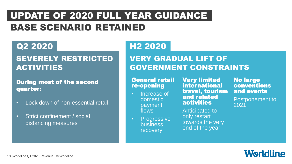# UPDATE OF 2020 FULL YEAR GUIDANCE BASE SCENARIO RETAINED

## Q2 2020

## SEVERELY RESTRICTED ACTIVITIES

## During most of the second quarter:

- Lock down of non-essential retail
- Strict confinement / social distancing measures

## H2 2020

## VERY GRADUAL LIFT OF GOVERNMENT CONSTRAINTS

### General retail re-opening

- Increase of domestic payment flows
- Progressive business recovery

Very limited international travel, tourism and related activities

Anticipated to only restart towards the very end of the year

No large conventions and events

Postponement to 2021

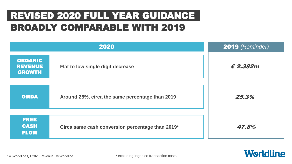# REVISED 2020 FULL YEAR GUIDANCE BROADLY COMPARABLE WITH 2019

| 2020                                              |                                                  | 2019 (Reminder)   |  |
|---------------------------------------------------|--------------------------------------------------|-------------------|--|
| <b>ORGANIC</b><br><b>REVENUE</b><br><b>GROWTH</b> | Flat to low single digit decrease                | $\epsilon$ 2,382m |  |
| <b>OMDA</b>                                       | Around 25%, circa the same percentage than 2019  | 25.3%             |  |
| <b>FREE</b><br><b>CASH</b><br><b>FLOW</b>         | Circa same cash conversion percentage than 2019* | 47.8%             |  |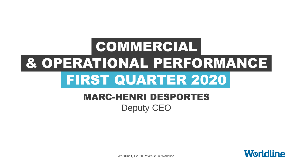# FIRST QUARTER 2020 & OPERATIONAL PERFORMANCE COMMERCIAL

# MARC-HENRI DESPORTES Deputy CEO



Worldline Q1 2020 Revenue | © Worldline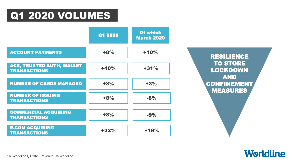# Q1 2020 VOLUMES



RESILIENCE **TO STORE** LOCKDOWN AND CONFINEMENT MEASURES

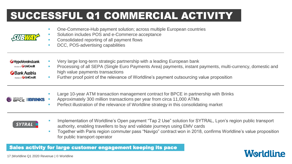# SUCCESSFUL Q1 COMMERCIAL ACTIVITY

|                            | п | One-Commerce-Hub payment solution; across multiple European countries<br>Solution includes POS and e-Commerce acceptance<br>Consolidated reporting of all payment flows<br>DCC, POS-advertising capabilities |
|----------------------------|---|--------------------------------------------------------------------------------------------------------------------------------------------------------------------------------------------------------------|
| HypoVereinsbank            |   | Very large long-term strategic partnership with a leading European bank                                                                                                                                      |
| Member of <b>UniCredit</b> |   | Processing of all SEPA (Single Euro Payments Area) payments, instant payments, multi-currency, domestic and                                                                                                  |
| Bank Austria               |   | high value payments transactions                                                                                                                                                                             |
| Member of <b>UniCredit</b> |   | Further proof point of the relevance of Worldline's payment outsourcing value proposition                                                                                                                    |
| $CDOUBE$ $$ $R = R$        |   | Large 10-year ATM transaction management contract for BPCE in partnership with Brinks                                                                                                                        |

- $\frac{\text{SDOPE}}{\text{DOPE}}$  **IIIIBRINKS** Approximately 300 million transactions per year from circa 11,000 ATMs
	- **Perfect illustration of the relevance of Worldline strategy in this consolidating market**

## **SYTRAL**

- Implementation of Worldline's Open payment "Tap 2 Use" solution for SYTRAL, Lyon's region public transport authority, enabling travellers to buy and validate journeys using EMV cards
- Together with Paris region commuter pass "Navigo" contract won in 2018, confirms Worldline's value proposition for public transport operator

## Sales activity for large customer engagement keeping its pace

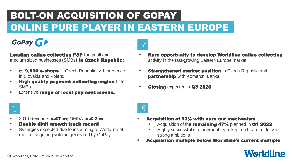# BOLT-ON ACQUISITION OF GOPAY ONLINE PURE PLAYER IN EASTERN EUROPE

# GoPay Gr

**Leading online collecting PSP** for small and medium sized businesses (SMBs) in Czech Republic:

- **c. 9.000 e-shops** in Czech Republic with presence in Slovakia and Poland
- **High quality payment collecting engine fit for** SMBs
- **Extensive range of local payment means.**



 $\bigoplus$ 

- Rare opportunity to develop Worldline online collecting activity in the fast-growing Eastern Europe market
- **Strengthened market position** in Czech Republic and **partnership** with Komercni Banka
- Closing expected in Q3 2020



- 2019 Revenue: **c.€7 m**: OMDA: **c.€ 2 m**
- Double digit growth track record
- Synergies expected due to insourcing to Worldline of most of acquiring volume generated by GoPay
- Acquisition of 53% with earn out mechanism
	- Acquisition of the **remaining 47%** planned in **Q1 2022**
	- Highly successful management team kept on board to deliver strong ambitions
- Acquisition multiple below Worldline's current multiple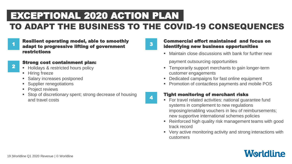# TO ADAPT THE BUSINESS TO THE COVID-19 CONSEQUENCES EXCEPTIONAL 2020 ACTION PLAN

1

Resilient operating model, able to smoothly adapt to progressive lifting of government restrictions

## 2

- Strong cost containment plan:
- **Holidays & restricted hours policy**
- **Hiring freeze**
- Salary increases postponed
- Supplier renegotiations
- **Project reviews**
- **Stop of discretionary spent; strong decrease of housing** and travel costs



4

#### Commercial effort maintained and focus on identifying new business opportunities

Maintain close discussions with bank for further new

payment outsourcing opportunities

- **Temporarily support merchants to gain longer-term** customer engagements
- Dedicated campaigns for fast online equipment
- **Promotion of contactless payments and mobile POS**

#### Tight monitoring of merchant risks

- For travel related activities: national guarantee fund systems in complement to new regulations imposing/enabling vouchers in lieu of reimbursements; new supportive international schemes policies
- Reinforced high quality risk management teams with good track record
- Very active monitoring activity and strong interactions with customers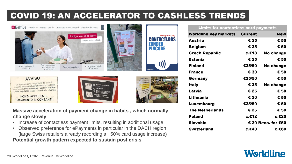# COVID 19: AN ACCELERATOR TO CASHLESS TRENDS









tijdelijk t/m € 50,-TARTINAS

**Massive acceleration of payment change in habits , which normally change slowly**

- Increase of contactless payment limits, resulting in additional usage
- Observed preference for ePayments in particular in the DACH region (large Swiss retailers already recording a +50% card usage increase) **Potential growth pattern expected to sustain post crisis**

#### **Limits for contactless card payments**

| <b>Worldline key markets</b> | <b>Current</b> | <b>New</b>         |
|------------------------------|----------------|--------------------|
| Austria                      | € 25           | € 50               |
| <b>Belgium</b>               | € 25           | € 50               |
| <b>Czech Republic</b>        | c.€18          | No change          |
| <b>Estonia</b>               | € 25           | € 50               |
| <b>Finland</b>               | €25/50         | No change          |
| <b>France</b>                | € 30           | € 50               |
| Germany                      | €25/50         | € 50               |
| Italy                        | € 25           | No change          |
| Latvia                       | € 25           | € 50               |
| Lithuania                    | € 20           | € 50               |
| Luxembourg                   | €25/50         | € 50               |
| <b>The Netherlands</b>       | € 25           | € 50               |
| <b>Poland</b>                | c.€12          | c.€25              |
| Slovakia                     |                | € 20 Reco. for €50 |
| <b>Switzerland</b>           | с.€40          | c.€80              |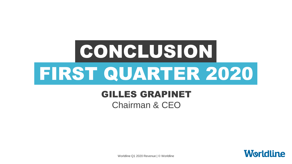# **CONCLUSION** FIRST QUARTER 2020

# GILLES GRAPINET

Chairman & CEO

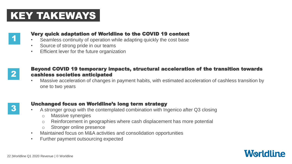# KEY TAKEWAYS



## Very quick adaptation of Worldline to the COVID 19 context

- Seamless continuity of operation while adapting quickly the cost base
- Source of strong pride in our teams
- Efficient lever for the future organization

## Beyond COVID 19 temporary impacts, structural acceleration of the transition towards cashless societies anticipated

• Massive acceleration of changes in payment habits, with estimated acceleration of cashless transition by one to two years

## Unchanged focus on Worldline's long term strategy

- A stronger group with the contemplated combination with Ingenico after Q3 closing
	- o Massive synergies
	- o Reinforcement in geographies where cash displacement has more potential
	- o Stronger online presence
- Maintained focus on M&A activities and consolidation opportunities
- Further payment outsourcing expected



3